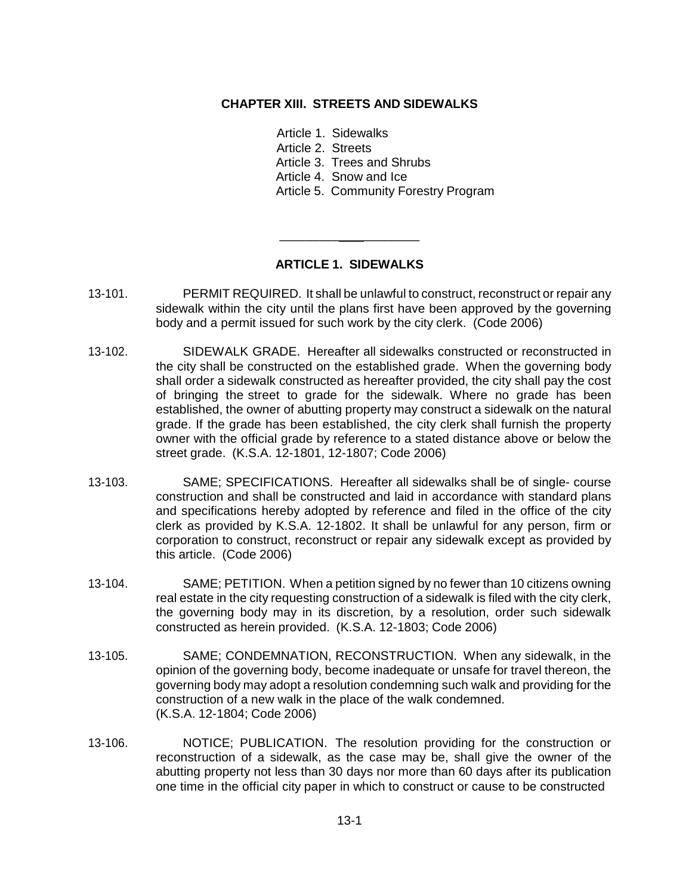## **CHAPTER XIII. STREETS AND SIDEWALKS**

Article 1. Sidewalks Article 2. Streets Article 3. Trees and Shrubs Article 4. Snow and Ice Article 5. Community Forestry Program

## **ARTICLE 1. SIDEWALKS**

\_\_\_\_\_\_\_\_\_ \_\_\_\_\_\_\_\_

- 13-101. PERMIT REQUIRED. It shall be unlawful to construct, reconstruct or repair any sidewalk within the city until the plans first have been approved by the governing body and a permit issued for such work by the city clerk. (Code 2006)
- 13-102. SIDEWALK GRADE. Hereafter all sidewalks constructed or reconstructed in the city shall be constructed on the established grade. When the governing body shall order a sidewalk constructed as hereafter provided, the city shall pay the cost of bringing the street to grade for the sidewalk. Where no grade has been established, the owner of abutting property may construct a sidewalk on the natural grade. If the grade has been established, the city clerk shall furnish the property owner with the official grade by reference to a stated distance above or below the street grade. (K.S.A. 12-1801, 12-1807; Code 2006)
- 13-103. SAME; SPECIFICATIONS. Hereafter all sidewalks shall be of single- course construction and shall be constructed and laid in accordance with standard plans and specifications hereby adopted by reference and filed in the office of the city clerk as provided by K.S.A. 12-1802. It shall be unlawful for any person, firm or corporation to construct, reconstruct or repair any sidewalk except as provided by this article. (Code 2006)
- 13-104. SAME; PETITION. When a petition signed by no fewer than 10 citizens owning real estate in the city requesting construction of a sidewalk is filed with the city clerk, the governing body may in its discretion, by a resolution, order such sidewalk constructed as herein provided. (K.S.A. 12-1803; Code 2006)
- 13-105. SAME; CONDEMNATION, RECONSTRUCTION. When any sidewalk, in the opinion of the governing body, become inadequate or unsafe for travel thereon, the governing body may adopt a resolution condemning such walk and providing for the construction of a new walk in the place of the walk condemned. (K.S.A. 12-1804; Code 2006)
- 13-106. NOTICE; PUBLICATION. The resolution providing for the construction or reconstruction of a sidewalk, as the case may be, shall give the owner of the abutting property not less than 30 days nor more than 60 days after its publication one time in the official city paper in which to construct or cause to be constructed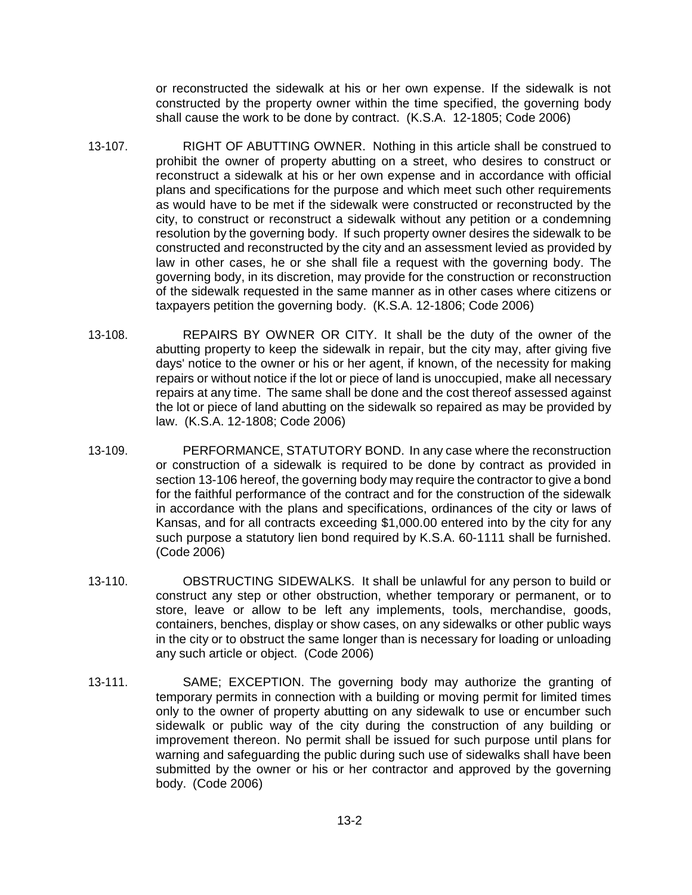or reconstructed the sidewalk at his or her own expense. If the sidewalk is not constructed by the property owner within the time specified, the governing body shall cause the work to be done by contract. (K.S.A. 12-1805; Code 2006)

- 13-107. RIGHT OF ABUTTING OWNER. Nothing in this article shall be construed to prohibit the owner of property abutting on a street, who desires to construct or reconstruct a sidewalk at his or her own expense and in accordance with official plans and specifications for the purpose and which meet such other requirements as would have to be met if the sidewalk were constructed or reconstructed by the city, to construct or reconstruct a sidewalk without any petition or a condemning resolution by the governing body. If such property owner desires the sidewalk to be constructed and reconstructed by the city and an assessment levied as provided by law in other cases, he or she shall file a request with the governing body. The governing body, in its discretion, may provide for the construction or reconstruction of the sidewalk requested in the same manner as in other cases where citizens or taxpayers petition the governing body. (K.S.A. 12-1806; Code 2006)
- 13-108. REPAIRS BY OWNER OR CITY. It shall be the duty of the owner of the abutting property to keep the sidewalk in repair, but the city may, after giving five days' notice to the owner or his or her agent, if known, of the necessity for making repairs or without notice if the lot or piece of land is unoccupied, make all necessary repairs at any time. The same shall be done and the cost thereof assessed against the lot or piece of land abutting on the sidewalk so repaired as may be provided by law. (K.S.A. 12-1808; Code 2006)
- 13-109. PERFORMANCE, STATUTORY BOND. In any case where the reconstruction or construction of a sidewalk is required to be done by contract as provided in section 13-106 hereof, the governing body may require the contractor to give a bond for the faithful performance of the contract and for the construction of the sidewalk in accordance with the plans and specifications, ordinances of the city or laws of Kansas, and for all contracts exceeding \$1,000.00 entered into by the city for any such purpose a statutory lien bond required by K.S.A. 60-1111 shall be furnished. (Code 2006)
- 13-110. OBSTRUCTING SIDEWALKS. It shall be unlawful for any person to build or construct any step or other obstruction, whether temporary or permanent, or to store, leave or allow to be left any implements, tools, merchandise, goods, containers, benches, display or show cases, on any sidewalks or other public ways in the city or to obstruct the same longer than is necessary for loading or unloading any such article or object. (Code 2006)
- 13-111. SAME; EXCEPTION. The governing body may authorize the granting of temporary permits in connection with a building or moving permit for limited times only to the owner of property abutting on any sidewalk to use or encumber such sidewalk or public way of the city during the construction of any building or improvement thereon. No permit shall be issued for such purpose until plans for warning and safeguarding the public during such use of sidewalks shall have been submitted by the owner or his or her contractor and approved by the governing body. (Code 2006)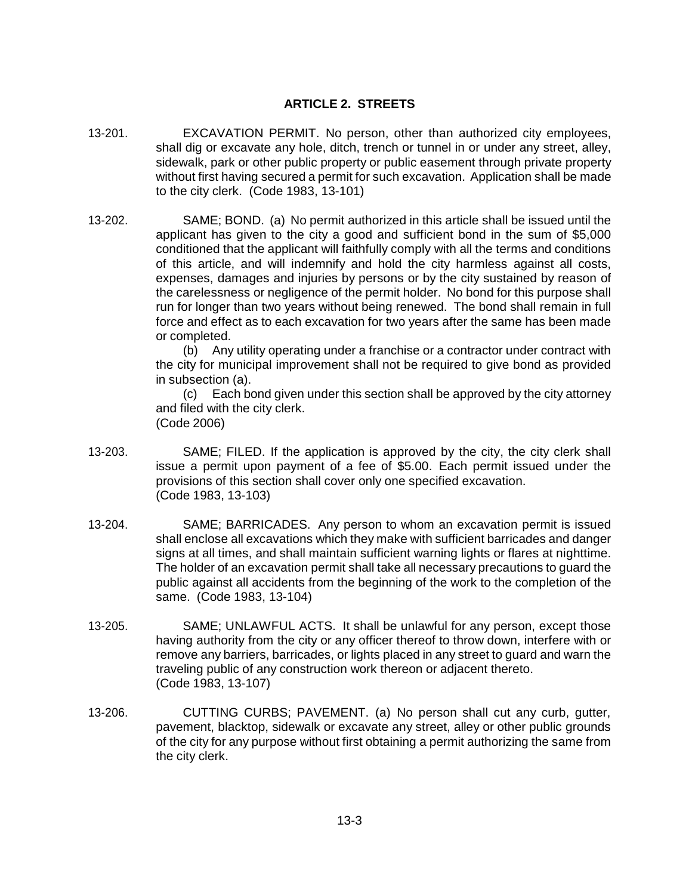## **ARTICLE 2. STREETS**

- 13-201. EXCAVATION PERMIT. No person, other than authorized city employees, shall dig or excavate any hole, ditch, trench or tunnel in or under any street, alley, sidewalk, park or other public property or public easement through private property without first having secured a permit for such excavation. Application shall be made to the city clerk. (Code 1983, 13-101)
- 13-202. SAME; BOND. (a) No permit authorized in this article shall be issued until the applicant has given to the city a good and sufficient bond in the sum of \$5,000 conditioned that the applicant will faithfully comply with all the terms and conditions of this article, and will indemnify and hold the city harmless against all costs, expenses, damages and injuries by persons or by the city sustained by reason of the carelessness or negligence of the permit holder. No bond for this purpose shall run for longer than two years without being renewed. The bond shall remain in full force and effect as to each excavation for two years after the same has been made or completed.

(b) Any utility operating under a franchise or a contractor under contract with the city for municipal improvement shall not be required to give bond as provided in subsection (a).

(c) Each bond given under this section shall be approved by the city attorney and filed with the city clerk. (Code 2006)

- 13-203. SAME; FILED. If the application is approved by the city, the city clerk shall issue a permit upon payment of a fee of \$5.00. Each permit issued under the provisions of this section shall cover only one specified excavation. (Code 1983, 13-103)
- 13-204. SAME; BARRICADES. Any person to whom an excavation permit is issued shall enclose all excavations which they make with sufficient barricades and danger signs at all times, and shall maintain sufficient warning lights or flares at nighttime. The holder of an excavation permit shall take all necessary precautions to guard the public against all accidents from the beginning of the work to the completion of the same. (Code 1983, 13-104)
- 13-205. SAME; UNLAWFUL ACTS. It shall be unlawful for any person, except those having authority from the city or any officer thereof to throw down, interfere with or remove any barriers, barricades, or lights placed in any street to guard and warn the traveling public of any construction work thereon or adjacent thereto. (Code 1983, 13-107)
- 13-206. CUTTING CURBS; PAVEMENT. (a) No person shall cut any curb, gutter, pavement, blacktop, sidewalk or excavate any street, alley or other public grounds of the city for any purpose without first obtaining a permit authorizing the same from the city clerk.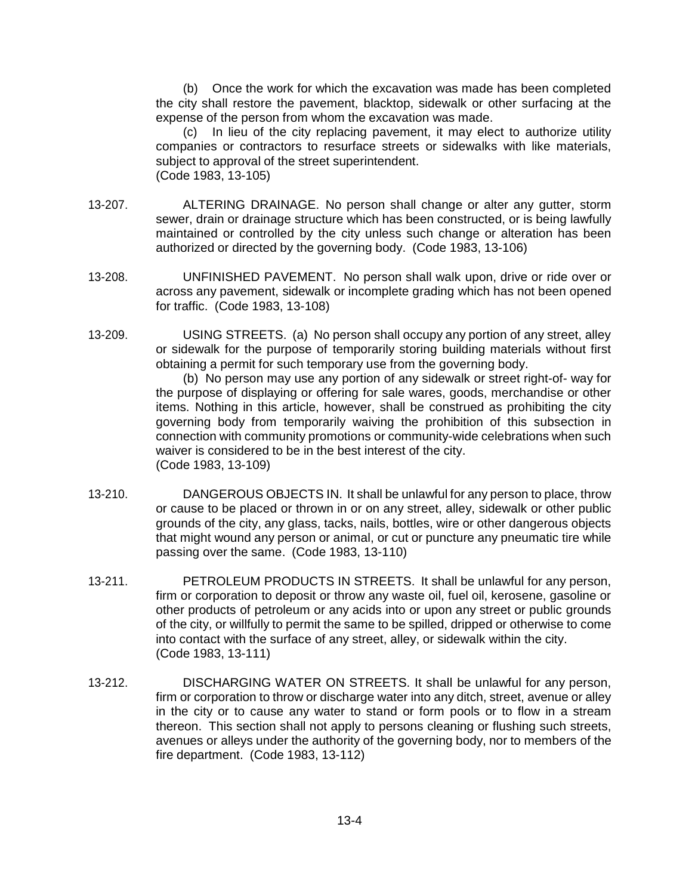(b) Once the work for which the excavation was made has been completed the city shall restore the pavement, blacktop, sidewalk or other surfacing at the expense of the person from whom the excavation was made.

(c) In lieu of the city replacing pavement, it may elect to authorize utility companies or contractors to resurface streets or sidewalks with like materials, subject to approval of the street superintendent. (Code 1983, 13-105)

- 13-207. ALTERING DRAINAGE. No person shall change or alter any gutter, storm sewer, drain or drainage structure which has been constructed, or is being lawfully maintained or controlled by the city unless such change or alteration has been authorized or directed by the governing body. (Code 1983, 13-106)
- 13-208. UNFINISHED PAVEMENT. No person shall walk upon, drive or ride over or across any pavement, sidewalk or incomplete grading which has not been opened for traffic. (Code 1983, 13-108)
- 13-209. USING STREETS. (a) No person shall occupy any portion of any street, alley or sidewalk for the purpose of temporarily storing building materials without first obtaining a permit for such temporary use from the governing body.

(b) No person may use any portion of any sidewalk or street right-of- way for the purpose of displaying or offering for sale wares, goods, merchandise or other items. Nothing in this article, however, shall be construed as prohibiting the city governing body from temporarily waiving the prohibition of this subsection in connection with community promotions or community-wide celebrations when such waiver is considered to be in the best interest of the city. (Code 1983, 13-109)

- 13-210. DANGEROUS OBJECTS IN. It shall be unlawful for any person to place, throw or cause to be placed or thrown in or on any street, alley, sidewalk or other public grounds of the city, any glass, tacks, nails, bottles, wire or other dangerous objects that might wound any person or animal, or cut or puncture any pneumatic tire while passing over the same. (Code 1983, 13-110)
- 13-211. PETROLEUM PRODUCTS IN STREETS. It shall be unlawful for any person, firm or corporation to deposit or throw any waste oil, fuel oil, kerosene, gasoline or other products of petroleum or any acids into or upon any street or public grounds of the city, or willfully to permit the same to be spilled, dripped or otherwise to come into contact with the surface of any street, alley, or sidewalk within the city. (Code 1983, 13-111)
- 13-212. DISCHARGING WATER ON STREETS. It shall be unlawful for any person, firm or corporation to throw or discharge water into any ditch, street, avenue or alley in the city or to cause any water to stand or form pools or to flow in a stream thereon. This section shall not apply to persons cleaning or flushing such streets, avenues or alleys under the authority of the governing body, nor to members of the fire department. (Code 1983, 13-112)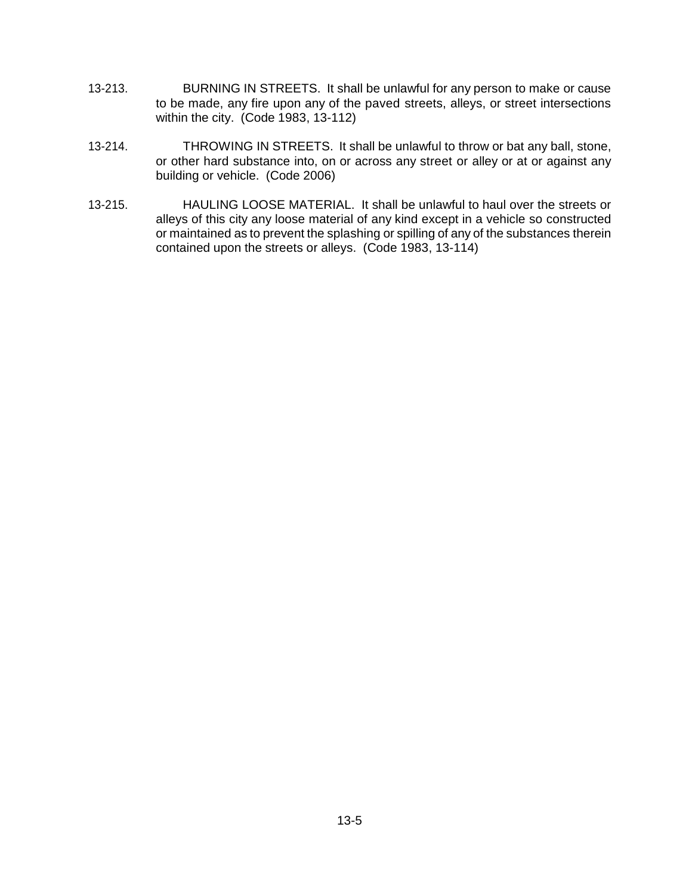- 13-213. BURNING IN STREETS. It shall be unlawful for any person to make or cause to be made, any fire upon any of the paved streets, alleys, or street intersections within the city. (Code 1983, 13-112)
- 13-214. THROWING IN STREETS. It shall be unlawful to throw or bat any ball, stone, or other hard substance into, on or across any street or alley or at or against any building or vehicle. (Code 2006)
- 13-215. HAULING LOOSE MATERIAL. It shall be unlawful to haul over the streets or alleys of this city any loose material of any kind except in a vehicle so constructed or maintained as to prevent the splashing or spilling of any of the substances therein contained upon the streets or alleys. (Code 1983, 13-114)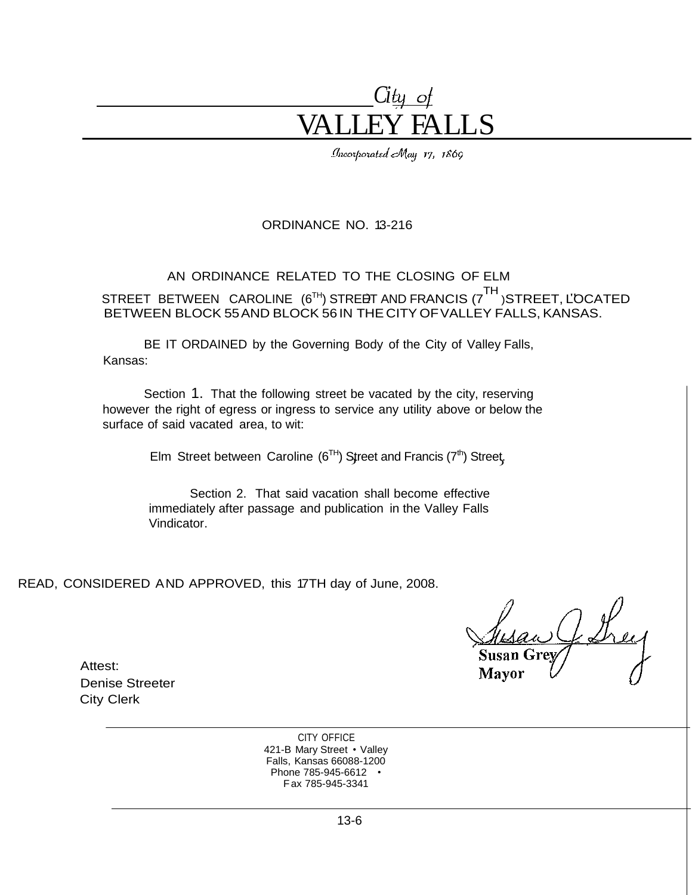# *Ci* VALLEY FALLS

Incorporated May 17, 1869

## ORDINANCE NO. 13-216

## AN ORDINANCE RELATED TO THE CLOSING OF ELM

STREET BETWEEN CAROLINE (6<sup>TH</sup>) STRE<del>D</del>T AND FRANCIS (7<sup>TH</sup> )STREET, L'OCATED BETWEEN BLOCK 55AND BLOCK 56 IN THE CITY OFVALLEY FALLS, KANSAS.

> BE IT ORDAINED by the Governing Body of the City of Valley Falls, Kansas:

Section 1. That the following street be vacated by the city, reserving however the right of egress or ingress to service any utility above or below the surface of said vacated area, to wit:

Elm Street between Caroline (6<sup>TH</sup>) Street and Francis (7<sup>th</sup>) Street,

Section 2. That said vacation shall become effective immediately after passage and publication in the Valley Falls Vindicator.

READ, CONSIDERED AND APPROVED, this 17TH day of June, 2008.

Attest: Denise Streeter City Clerk

> CITY OFFICE 421-B Mary Street • Valley Falls, Kansas 66088-1200 Phone 785-945-6612 • Fax 785-945-3341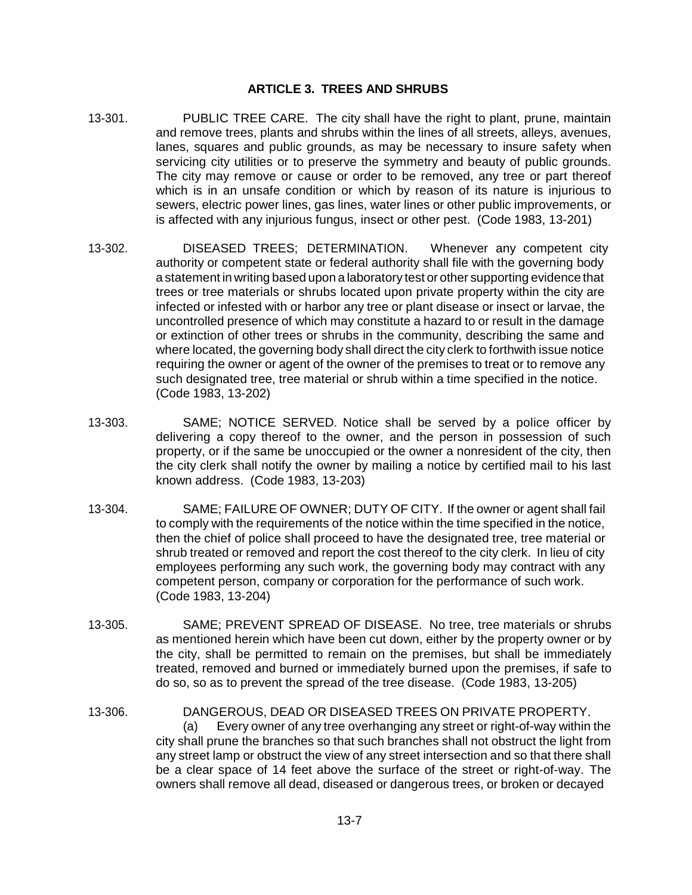## **ARTICLE 3. TREES AND SHRUBS**

- 13-301. PUBLIC TREE CARE. The city shall have the right to plant, prune, maintain and remove trees, plants and shrubs within the lines of all streets, alleys, avenues, lanes, squares and public grounds, as may be necessary to insure safety when servicing city utilities or to preserve the symmetry and beauty of public grounds. The city may remove or cause or order to be removed, any tree or part thereof which is in an unsafe condition or which by reason of its nature is injurious to sewers, electric power lines, gas lines, water lines or other public improvements, or is affected with any injurious fungus, insect or other pest. (Code 1983, 13-201)
- 13-302. DISEASED TREES; DETERMINATION. Whenever any competent city authority or competent state or federal authority shall file with the governing body a statement in writing based upon a laboratory test or other supporting evidence that trees or tree materials or shrubs located upon private property within the city are infected or infested with or harbor any tree or plant disease or insect or larvae, the uncontrolled presence of which may constitute a hazard to or result in the damage or extinction of other trees or shrubs in the community, describing the same and where located, the governing body shall direct the city clerk to forthwith issue notice requiring the owner or agent of the owner of the premises to treat or to remove any such designated tree, tree material or shrub within a time specified in the notice. (Code 1983, 13-202)
- 13-303. SAME; NOTICE SERVED. Notice shall be served by a police officer by delivering a copy thereof to the owner, and the person in possession of such property, or if the same be unoccupied or the owner a nonresident of the city, then the city clerk shall notify the owner by mailing a notice by certified mail to his last known address. (Code 1983, 13-203)
- 13-304. SAME; FAILURE OF OWNER; DUTY OF CITY. If the owner or agent shall fail to comply with the requirements of the notice within the time specified in the notice, then the chief of police shall proceed to have the designated tree, tree material or shrub treated or removed and report the cost thereof to the city clerk. In lieu of city employees performing any such work, the governing body may contract with any competent person, company or corporation for the performance of such work. (Code 1983, 13-204)
- 13-305. SAME; PREVENT SPREAD OF DISEASE. No tree, tree materials or shrubs as mentioned herein which have been cut down, either by the property owner or by the city, shall be permitted to remain on the premises, but shall be immediately treated, removed and burned or immediately burned upon the premises, if safe to do so, so as to prevent the spread of the tree disease. (Code 1983, 13-205)
- 13-306. DANGEROUS, DEAD OR DISEASED TREES ON PRIVATE PROPERTY. (a) Every owner of any tree overhanging any street or right-of-way within the city shall prune the branches so that such branches shall not obstruct the light from any street lamp or obstruct the view of any street intersection and so that there shall be a clear space of 14 feet above the surface of the street or right-of-way. The owners shall remove all dead, diseased or dangerous trees, or broken or decayed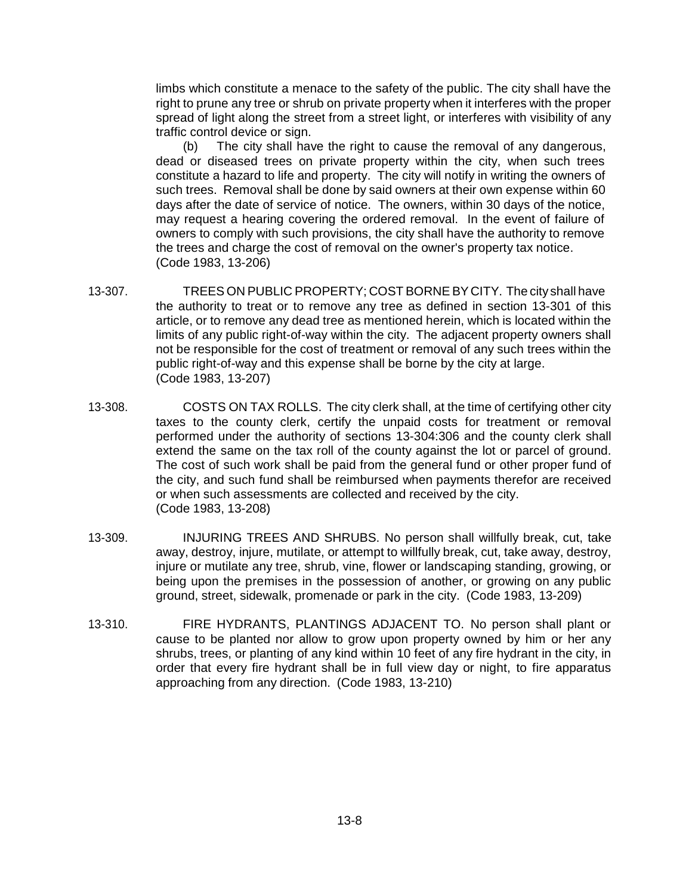limbs which constitute a menace to the safety of the public. The city shall have the right to prune any tree or shrub on private property when it interferes with the proper spread of light along the street from a street light, or interferes with visibility of any traffic control device or sign.

(b) The city shall have the right to cause the removal of any dangerous, dead or diseased trees on private property within the city, when such trees constitute a hazard to life and property. The city will notify in writing the owners of such trees. Removal shall be done by said owners at their own expense within 60 days after the date of service of notice. The owners, within 30 days of the notice, may request a hearing covering the ordered removal. In the event of failure of owners to comply with such provisions, the city shall have the authority to remove the trees and charge the cost of removal on the owner's property tax notice. (Code 1983, 13-206)

- 13-307. TREES ON PUBLIC PROPERTY; COST BORNE BY CITY. The city shall have the authority to treat or to remove any tree as defined in section 13-301 of this article, or to remove any dead tree as mentioned herein, which is located within the limits of any public right-of-way within the city. The adjacent property owners shall not be responsible for the cost of treatment or removal of any such trees within the public right-of-way and this expense shall be borne by the city at large. (Code 1983, 13-207)
- 13-308. COSTS ON TAX ROLLS. The city clerk shall, at the time of certifying other city taxes to the county clerk, certify the unpaid costs for treatment or removal performed under the authority of sections 13-304:306 and the county clerk shall extend the same on the tax roll of the county against the lot or parcel of ground. The cost of such work shall be paid from the general fund or other proper fund of the city, and such fund shall be reimbursed when payments therefor are received or when such assessments are collected and received by the city. (Code 1983, 13-208)
- 13-309. INJURING TREES AND SHRUBS. No person shall willfully break, cut, take away, destroy, injure, mutilate, or attempt to willfully break, cut, take away, destroy, injure or mutilate any tree, shrub, vine, flower or landscaping standing, growing, or being upon the premises in the possession of another, or growing on any public ground, street, sidewalk, promenade or park in the city. (Code 1983, 13-209)
- 13-310. FIRE HYDRANTS, PLANTINGS ADJACENT TO. No person shall plant or cause to be planted nor allow to grow upon property owned by him or her any shrubs, trees, or planting of any kind within 10 feet of any fire hydrant in the city, in order that every fire hydrant shall be in full view day or night, to fire apparatus approaching from any direction. (Code 1983, 13-210)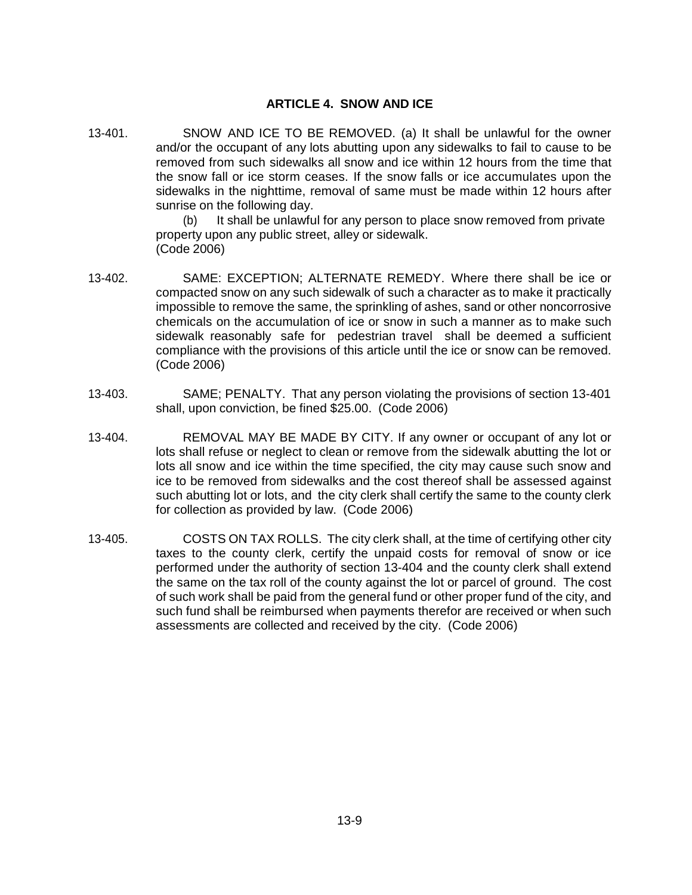### **ARTICLE 4. SNOW AND ICE**

13-401. SNOW AND ICE TO BE REMOVED. (a) It shall be unlawful for the owner and/or the occupant of any lots abutting upon any sidewalks to fail to cause to be removed from such sidewalks all snow and ice within 12 hours from the time that the snow fall or ice storm ceases. If the snow falls or ice accumulates upon the sidewalks in the nighttime, removal of same must be made within 12 hours after sunrise on the following day.

> (b) It shall be unlawful for any person to place snow removed from private property upon any public street, alley or sidewalk. (Code 2006)

- 13-402. SAME: EXCEPTION; ALTERNATE REMEDY. Where there shall be ice or compacted snow on any such sidewalk of such a character as to make it practically impossible to remove the same, the sprinkling of ashes, sand or other noncorrosive chemicals on the accumulation of ice or snow in such a manner as to make such sidewalk reasonably safe for pedestrian travel shall be deemed a sufficient compliance with the provisions of this article until the ice or snow can be removed. (Code 2006)
- 13-403. SAME; PENALTY. That any person violating the provisions of section 13-401 shall, upon conviction, be fined \$25.00. (Code 2006)
- 13-404. REMOVAL MAY BE MADE BY CITY. If any owner or occupant of any lot or lots shall refuse or neglect to clean or remove from the sidewalk abutting the lot or lots all snow and ice within the time specified, the city may cause such snow and ice to be removed from sidewalks and the cost thereof shall be assessed against such abutting lot or lots, and the city clerk shall certify the same to the county clerk for collection as provided by law. (Code 2006)
- 13-405. COSTS ON TAX ROLLS. The city clerk shall, at the time of certifying other city taxes to the county clerk, certify the unpaid costs for removal of snow or ice performed under the authority of section 13-404 and the county clerk shall extend the same on the tax roll of the county against the lot or parcel of ground. The cost of such work shall be paid from the general fund or other proper fund of the city, and such fund shall be reimbursed when payments therefor are received or when such assessments are collected and received by the city. (Code 2006)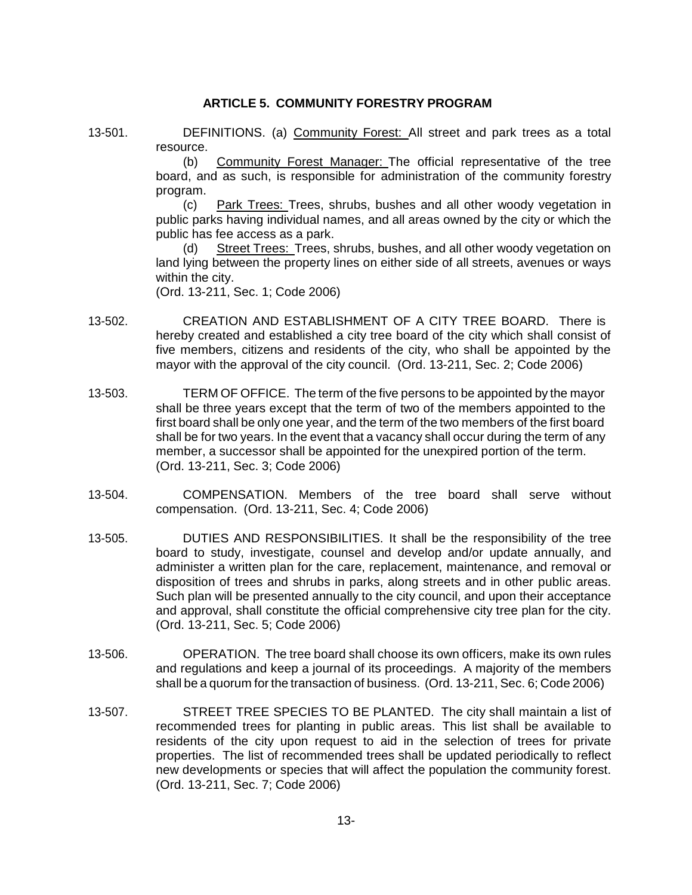#### **ARTICLE 5. COMMUNITY FORESTRY PROGRAM**

13-501. DEFINITIONS. (a) Community Forest: All street and park trees as a total resource.

> (b) Community Forest Manager: The official representative of the tree board, and as such, is responsible for administration of the community forestry program.

> (c) Park Trees: Trees, shrubs, bushes and all other woody vegetation in public parks having individual names, and all areas owned by the city or which the public has fee access as a park.

> (d) Street Trees: Trees, shrubs, bushes, and all other woody vegetation on land lying between the property lines on either side of all streets, avenues or ways within the city.

(Ord. 13-211, Sec. 1; Code 2006)

- 13-502. CREATION AND ESTABLISHMENT OF A CITY TREE BOARD. There is hereby created and established a city tree board of the city which shall consist of five members, citizens and residents of the city, who shall be appointed by the mayor with the approval of the city council. (Ord. 13-211, Sec. 2; Code 2006)
- 13-503. TERM OF OFFICE. The term of the five persons to be appointed by the mayor shall be three years except that the term of two of the members appointed to the first board shall be only one year, and the term of the two members of the first board shall be for two years. In the event that a vacancy shall occur during the term of any member, a successor shall be appointed for the unexpired portion of the term. (Ord. 13-211, Sec. 3; Code 2006)
- 13-504. COMPENSATION. Members of the tree board shall serve without compensation. (Ord. 13-211, Sec. 4; Code 2006)
- 13-505. DUTIES AND RESPONSIBILITIES. It shall be the responsibility of the tree board to study, investigate, counsel and develop and/or update annually, and administer a written plan for the care, replacement, maintenance, and removal or disposition of trees and shrubs in parks, along streets and in other public areas. Such plan will be presented annually to the city council, and upon their acceptance and approval, shall constitute the official comprehensive city tree plan for the city. (Ord. 13-211, Sec. 5; Code 2006)
- 13-506. OPERATION. The tree board shall choose its own officers, make its own rules and regulations and keep a journal of its proceedings. A majority of the members shall be a quorum for the transaction of business. (Ord. 13-211, Sec. 6; Code 2006)
- 13-507. STREET TREE SPECIES TO BE PLANTED. The city shall maintain a list of recommended trees for planting in public areas. This list shall be available to residents of the city upon request to aid in the selection of trees for private properties. The list of recommended trees shall be updated periodically to reflect new developments or species that will affect the population the community forest. (Ord. 13-211, Sec. 7; Code 2006)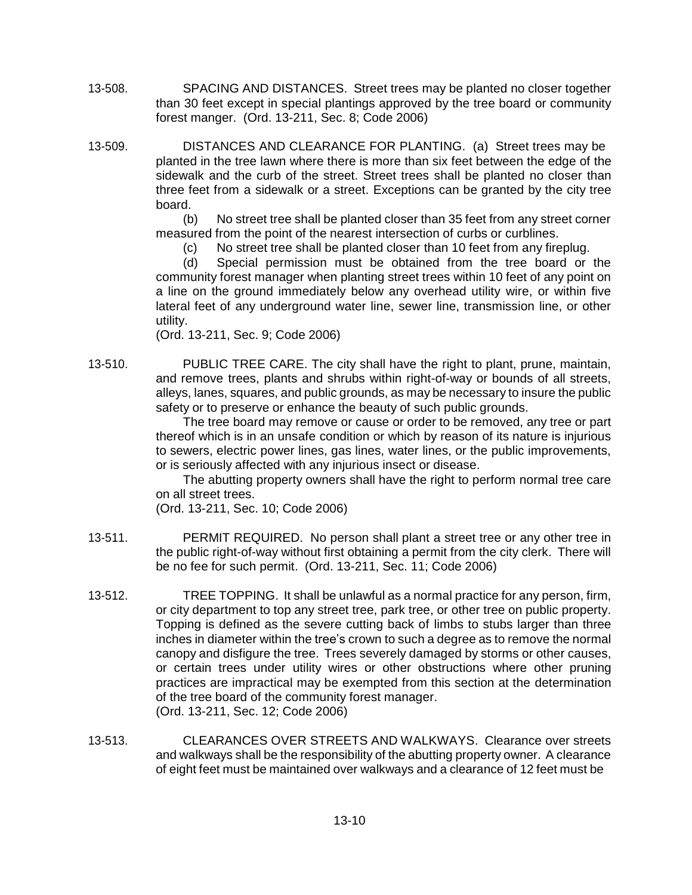- 13-508. SPACING AND DISTANCES. Street trees may be planted no closer together than 30 feet except in special plantings approved by the tree board or community forest manger. (Ord. 13-211, Sec. 8; Code 2006)
- 13-509. DISTANCES AND CLEARANCE FOR PLANTING. (a) Street trees may be planted in the tree lawn where there is more than six feet between the edge of the sidewalk and the curb of the street. Street trees shall be planted no closer than three feet from a sidewalk or a street. Exceptions can be granted by the city tree board.

(b) No street tree shall be planted closer than 35 feet from any street corner measured from the point of the nearest intersection of curbs or curblines.

(c) No street tree shall be planted closer than 10 feet from any fireplug.

(d) Special permission must be obtained from the tree board or the community forest manager when planting street trees within 10 feet of any point on a line on the ground immediately below any overhead utility wire, or within five lateral feet of any underground water line, sewer line, transmission line, or other utility.

(Ord. 13-211, Sec. 9; Code 2006)

13-510. PUBLIC TREE CARE. The city shall have the right to plant, prune, maintain, and remove trees, plants and shrubs within right-of-way or bounds of all streets, alleys, lanes, squares, and public grounds, as may be necessary to insure the public safety or to preserve or enhance the beauty of such public grounds.

> The tree board may remove or cause or order to be removed, any tree or part thereof which is in an unsafe condition or which by reason of its nature is injurious to sewers, electric power lines, gas lines, water lines, or the public improvements, or is seriously affected with any injurious insect or disease.

> The abutting property owners shall have the right to perform normal tree care on all street trees.

(Ord. 13-211, Sec. 10; Code 2006)

- 13-511. PERMIT REQUIRED. No person shall plant a street tree or any other tree in the public right-of-way without first obtaining a permit from the city clerk. There will be no fee for such permit. (Ord. 13-211, Sec. 11; Code 2006)
- 13-512. TREE TOPPING. It shall be unlawful as a normal practice for any person, firm, or city department to top any street tree, park tree, or other tree on public property. Topping is defined as the severe cutting back of limbs to stubs larger than three inches in diameter within the tree's crown to such a degree as to remove the normal canopy and disfigure the tree. Trees severely damaged by storms or other causes, or certain trees under utility wires or other obstructions where other pruning practices are impractical may be exempted from this section at the determination of the tree board of the community forest manager. (Ord. 13-211, Sec. 12; Code 2006)
- 13-513. CLEARANCES OVER STREETS AND WALKWAYS. Clearance over streets and walkways shall be the responsibility of the abutting property owner. A clearance of eight feet must be maintained over walkways and a clearance of 12 feet must be